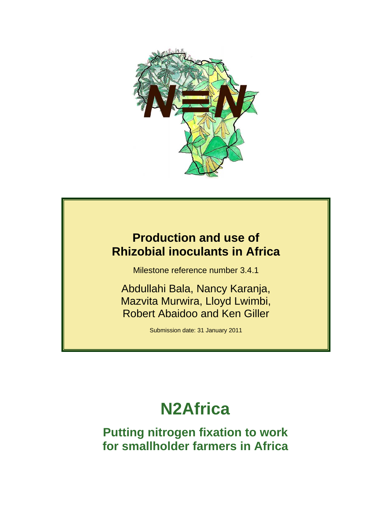

## **Production and use of Rhizobial inoculants in Africa**

Milestone reference number 3.4.1

Abdullahi Bala, Nancy Karanja, Mazvita Murwira, Lloyd Lwimbi, Robert Abaidoo and Ken Giller

Submission date: 31 January 2011

# **N2Africa**

**Putting nitrogen fixation to work for smallholder farmers in Africa**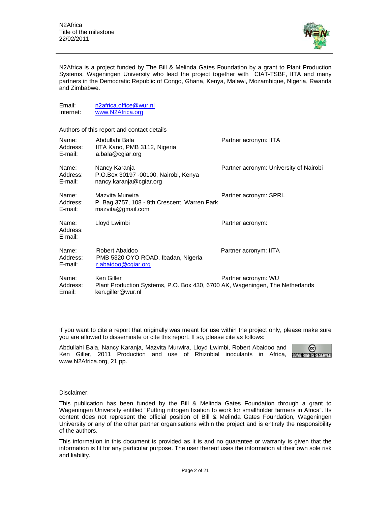Email: n2africa.office@wur.nl<br>Internet: www.N2Africa.org



N2Africa is a project funded by The Bill & Melinda Gates Foundation by a grant to Plant Production Systems, Wageningen University who lead the project together with CIAT-TSBF, IITA and many partners in the Democratic Republic of Congo, Ghana, Kenya, Malawi, Mozambique, Nigeria, Rwanda and Zimbabwe.

| Internet:                                  | www.N2Africa.org                                                                                                |                                        |  |  |  |  |
|--------------------------------------------|-----------------------------------------------------------------------------------------------------------------|----------------------------------------|--|--|--|--|
| Authors of this report and contact details |                                                                                                                 |                                        |  |  |  |  |
| Name:<br>Address:<br>E-mail:               | Abdullahi Bala<br>IITA Kano, PMB 3112, Nigeria<br>a.bala@cgiar.org                                              | Partner acronym: IITA                  |  |  |  |  |
| Name:<br>Address:<br>E-mail:               | Nancy Karanja<br>P.O.Box 30197 -00100, Nairobi, Kenya<br>nancy.karanja@cgiar.org                                | Partner acronym: University of Nairobi |  |  |  |  |
| Name:<br>Address:<br>E-mail:               | Mazvita Murwira<br>P. Bag 3757, 108 - 9th Crescent, Warren Park<br>maxvita@gmail.com                            | Partner acronym: SPRL                  |  |  |  |  |
| Name:<br>Address:<br>E-mail:               | Lloyd Lwimbi                                                                                                    | Partner acronym:                       |  |  |  |  |
| Name:<br>Address:<br>E-mail:               | Robert Abaidoo<br>PMB 5320 OYO ROAD, Ibadan, Nigeria<br>r.abaidoo@cgiar.org                                     | Partner acronym: IITA                  |  |  |  |  |
| Name:<br>Address:<br>Email:                | Ken Giller<br>Plant Production Systems, P.O. Box 430, 6700 AK, Wageningen, The Netherlands<br>ken.giller@wur.nl | Partner acronym: WU                    |  |  |  |  |

If you want to cite a report that originally was meant for use within the project only, please make sure you are allowed to disseminate or cite this report. If so, please cite as follows:

Abdullahi Bala, Nancy Karanja, Mazvita Murwira, Lloyd Lwimbi, Robert Abaidoo and (ශ) Ken Giller, 2011 Production and use of Rhizobial inoculants in Africa, www.N2Africa.org, 21 pp.

#### Disclaimer:

This publication has been funded by the Bill & Melinda Gates Foundation through a grant to Wageningen University entitled "Putting nitrogen fixation to work for smallholder farmers in Africa". Its content does not represent the official position of Bill & Melinda Gates Foundation, Wageningen University or any of the other partner organisations within the project and is entirely the responsibility of the authors.

This information in this document is provided as it is and no guarantee or warranty is given that the information is fit for any particular purpose. The user thereof uses the information at their own sole risk and liability.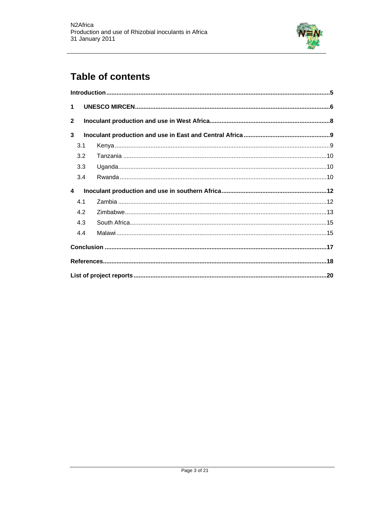

### **Table of contents**

| $\mathbf 1$    |     |  |  |  |
|----------------|-----|--|--|--|
| $\overline{2}$ |     |  |  |  |
| 3              |     |  |  |  |
|                | 3.1 |  |  |  |
|                | 3.2 |  |  |  |
|                | 3.3 |  |  |  |
|                | 3.4 |  |  |  |
|                |     |  |  |  |
| 4              |     |  |  |  |
|                | 4.1 |  |  |  |
|                | 4.2 |  |  |  |
|                | 4.3 |  |  |  |
|                | 4.4 |  |  |  |
|                |     |  |  |  |
|                |     |  |  |  |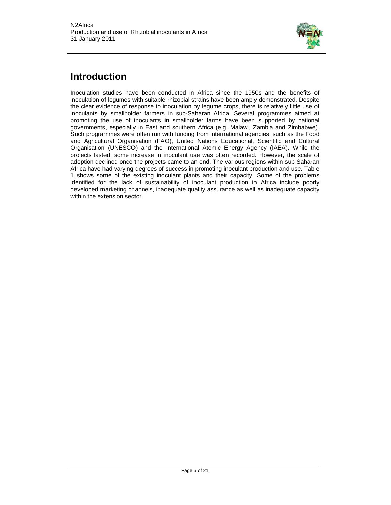

### **Introduction**

Inoculation studies have been conducted in Africa since the 1950s and the benefits of inoculation of legumes with suitable rhizobial strains have been amply demonstrated. Despite the clear evidence of response to inoculation by legume crops, there is relatively little use of inoculants by smallholder farmers in sub-Saharan Africa. Several programmes aimed at promoting the use of inoculants in smallholder farms have been supported by national governments, especially in East and southern Africa (e.g. Malawi, Zambia and Zimbabwe). Such programmes were often run with funding from international agencies, such as the Food and Agricultural Organisation (FAO), United Nations Educational, Scientific and Cultural Organisation (UNESCO) and the International Atomic Energy Agency (IAEA). While the projects lasted, some increase in inoculant use was often recorded. However, the scale of adoption declined once the projects came to an end. The various regions within sub-Saharan Africa have had varying degrees of success in promoting inoculant production and use. Table 1 shows some of the existing inoculant plants and their capacity. Some of the problems identified for the lack of sustainability of inoculant production in Africa include poorly developed marketing channels, inadequate quality assurance as well as inadequate capacity within the extension sector.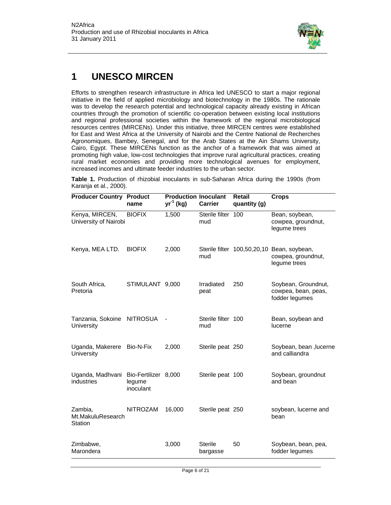

### **1 UNESCO MIRCEN**

Efforts to strengthen research infrastructure in Africa led UNESCO to start a major regional initiative in the field of applied microbiology and biotechnology in the 1980s. The rationale was to develop the research potential and technological capacity already existing in African countries through the promotion of scientific co-operation between existing local institutions and regional professional societies within the framework of the regional microbiological resources centres (MIRCENs). Under this initiative, three MIRCEN centres were established for East and West Africa at the University of Nairobi and the Centre National de Recherches Agronomiques, Bambey, Senegal, and for the Arab States at the Ain Shams University, Cairo, Egypt. These MIRCENs function as the anchor of a framework that was aimed at promoting high value, low-cost technologies that improve rural agricultural practices, creating rural market economies and providing more technological avenues for employment, increased incomes and ultimate feeder industries to the urban sector.

**Table 1.** Production of rhizobial inoculants in sub-Saharan Africa during the 1990s (from Karanja et al., 2000).

| <b>Producer Country Product</b>          | name                                        | <b>Production Inoculant</b><br>$yr^{-1}$ (kg) | <b>Carrier</b>             | Retail<br>quantity (g) | <b>Crops</b>                                                                     |
|------------------------------------------|---------------------------------------------|-----------------------------------------------|----------------------------|------------------------|----------------------------------------------------------------------------------|
| Kenya, MIRCEN,<br>University of Nairobi  | <b>BIOFIX</b>                               | 1,500                                         | Sterile filter 100<br>mud  |                        | Bean, soybean,<br>cowpea, groundnut,<br>legume trees                             |
| Kenya, MEA LTD.                          | <b>BIOFIX</b>                               | 2,000                                         | mud                        |                        | Sterile filter 100,50,20,10 Bean, soybean,<br>cowpea, groundnut,<br>legume trees |
| South Africa,<br>Pretoria                | STIMULANT 9,000                             |                                               | Irradiated<br>peat         | 250                    | Soybean, Groundnut,<br>cowpea, bean, peas,<br>fodder legumes                     |
| Tanzania, Sokoine<br>University          | <b>NITROSUA</b>                             |                                               | Sterile filter 100<br>mud  |                        | Bean, soybean and<br>lucerne                                                     |
| Uganda, Makerere Bio-N-Fix<br>University |                                             | 2,000                                         | Sterile peat 250           |                        | Soybean, bean , lucerne<br>and calliandra                                        |
| Uganda, Madhvani<br>industries           | Bio-Fertilizer 8,000<br>legume<br>inoculant |                                               | Sterile peat 100           |                        | Soybean, groundnut<br>and bean                                                   |
| Zambia,<br>Mt.MakuluResearch<br>Station  | <b>NITROZAM</b>                             | 16,000                                        | Sterile peat 250           |                        | soybean, lucerne and<br>bean                                                     |
| Zimbabwe,<br>Marondera                   |                                             | 3,000                                         | <b>Sterile</b><br>bargasse | 50                     | Soybean, bean, pea,<br>fodder legumes                                            |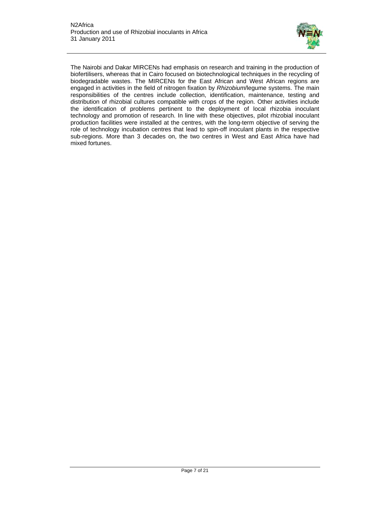

The Nairobi and Dakar MIRCENs had emphasis on research and training in the production of biofertilisers, whereas that in Cairo focused on biotechnological techniques in the recycling of biodegradable wastes. The MIRCENs for the East African and West African regions are engaged in activities in the field of nitrogen fixation by *Rhizobium*/legume systems. The main responsibilities of the centres include collection, identification, maintenance, testing and distribution of rhizobial cultures compatible with crops of the region. Other activities include the identification of problems pertinent to the deployment of local rhizobia inoculant technology and promotion of research. In line with these objectives, pilot rhizobial inoculant production facilities were installed at the centres, with the long-term objective of serving the role of technology incubation centres that lead to spin-off inoculant plants in the respective sub-regions. More than 3 decades on, the two centres in West and East Africa have had mixed fortunes.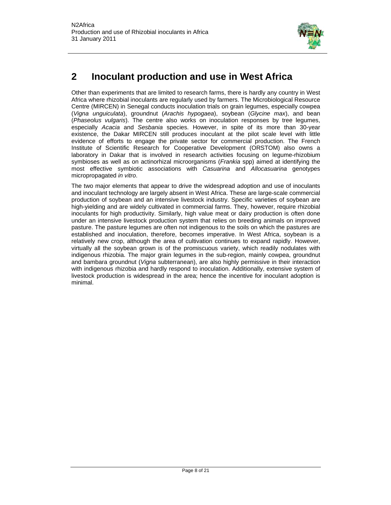

### **2 Inoculant production and use in West Africa**

Other than experiments that are limited to research farms, there is hardly any country in West Africa where rhizobial inoculants are regularly used by farmers. The Microbiological Resource Centre (MIRCEN) in Senegal conducts inoculation trials on grain legumes, especially cowpea (*Vigna unguiculata*), groundnut (*Arachis hypogaea*), soybean (*Glycine max*), and bean (*Phaseolus vulgaris*). The centre also works on inoculation responses by tree legumes, especially *Acacia* and *Sesbania* species. However, in spite of its more than 30-year existence, the Dakar MIRCEN still produces inoculant at the pilot scale level with little evidence of efforts to engage the private sector for commercial production. The French Institute of Scientific Research for Cooperative Development (ORSTOM) also owns a laboratory in Dakar that is involved in research activities focusing on legume-rhizobium symbioses as well as on actinorhizal microorganisms (*Frankia* spp) aimed at identifying the most effective symbiotic associations with *Casuarina* and *Allocasuarina* genotypes micropropagated *in vitro*.

The two major elements that appear to drive the widespread adoption and use of inoculants and inoculant technology are largely absent in West Africa. These are large-scale commercial production of soybean and an intensive livestock industry. Specific varieties of soybean are high-yielding and are widely cultivated in commercial farms. They, however, require rhizobial inoculants for high productivity. Similarly, high value meat or dairy production is often done under an intensive livestock production system that relies on breeding animals on improved pasture. The pasture legumes are often not indigenous to the soils on which the pastures are established and inoculation, therefore, becomes imperative. In West Africa, soybean is a relatively new crop, although the area of cultivation continues to expand rapidly. However, virtually all the soybean grown is of the promiscuous variety, which readily nodulates with indigenous rhizobia. The major grain legumes in the sub-region, mainly cowpea, groundnut and bambara groundnut (*Vigna* subterranean), are also highly permissive in their interaction with indigenous rhizobia and hardly respond to inoculation. Additionally, extensive system of livestock production is widespread in the area; hence the incentive for inoculant adoption is minimal.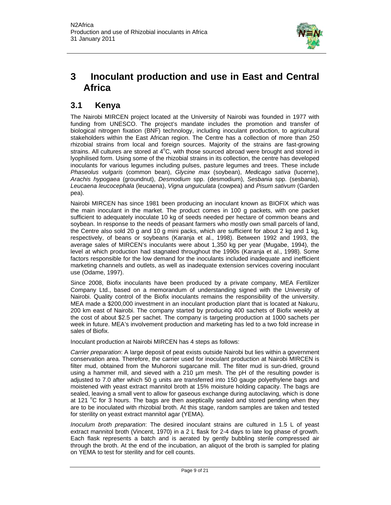

### **3 Inoculant production and use in East and Central Africa**

#### **3.1 Kenya**

The Nairobi MIRCEN project located at the University of Nairobi was founded in 1977 with funding from UNESCO. The project's mandate includes the promotion and transfer of biological nitrogen fixation (BNF) technology, including inoculant production, to agricultural stakeholders within the East African region. The Centre has a collection of more than 250 rhizobial strains from local and foreign sources. Majority of the strains are fast-growing strains. All cultures are stored at 4°C, with those sourced abroad were brought and stored in lyophilised form. Using some of the rhizobial strains in its collection, the centre has developed inoculants for various legumes including pulses, pasture legumes and trees. These include *Phaseolus vulgaris* (common bean), *Glycine max* (soybean), *Medicago sativa* (lucerne), *Arachis hypogaea* (groundnut), *Desmodium* spp. (desmodium), *Sesbania* spp. (sesbania), *Leucaena leucocephala* (leucaena), *Vigna unguiculata* (cowpea) and *Pisum sativum* (Garden pea).

Nairobi MIRCEN has since 1981 been producing an inoculant known as BIOFIX which was the main inoculant in the market. The product comes in 100 g packets, with one packet sufficient to adequately inoculate 10 kg of seeds needed per hectare of common beans and soybean. In response to the needs of peasant farmers who mostly own small parcels of land, the Centre also sold 20 g and 10 g mini packs, which are sufficient for about 2 kg and 1 kg, respectively, of beans or soybeans (Karanja et al., 1998). Between 1992 and 1993, the average sales of MIRCEN's inoculants were about 1,350 kg per year (Mugabe, 1994), the level at which production had stagnated throughout the 1990s (Karanja et al., 1998). Some factors responsible for the low demand for the inoculants included inadequate and inefficient marketing channels and outlets, as well as inadequate extension services covering inoculant use (Odame, 1997).

Since 2008, Biofix inoculants have been produced by a private company, MEA Fertilizer Company Ltd., based on a memorandum of understanding signed with the University of Nairobi. Quality control of the Biofix inoculants remains the responsibility of the university. MEA made a \$200,000 investment in an inoculant production plant that is located at Nakuru, 200 km east of Nairobi. The company started by producing 400 sachets of Biofix weekly at the cost of about \$2.5 per sachet. The company is targeting production at 1000 sachets per week in future. MEA's involvement production and marketing has led to a two fold increase in sales of Biofix.

Inoculant production at Nairobi MIRCEN has 4 steps as follows:

*Carrier preparation*: A large deposit of peat exists outside Nairobi but lies within a government conservation area. Therefore, the carrier used for inoculant production at Nairobi MIRCEN is filter mud, obtained from the Muhoroni sugarcane mill. The filter mud is sun-dried, ground using a hammer mill, and sieved with a 210 µm mesh. The pH of the resulting powder is adjusted to 7.0 after which 50 g units are transferred into 150 gauge polyethylene bags and moistened with yeast extract mannitol broth at 15% moisture holding capacity. The bags are sealed, leaving a small vent to allow for gaseous exchange during autoclaving, which is done at 121  $^{\circ}$ C for 3 hours. The bags are then aseptically sealed and stored pending when they are to be inoculated with rhizobial broth. At this stage, random samples are taken and tested for sterility on yeast extract mannitol agar (YEMA).

*Inoculum broth preparation*: The desired inoculant strains are cultured in 1.5 L of yeast extract mannitol broth (Vincent, 1970) in a 2 L flask for 2-4 days to late log phase of growth. Each flask represents a batch and is aerated by gently bubbling sterile compressed air through the broth. At the end of the incubation, an aliquot of the broth is sampled for plating on YEMA to test for sterility and for cell counts.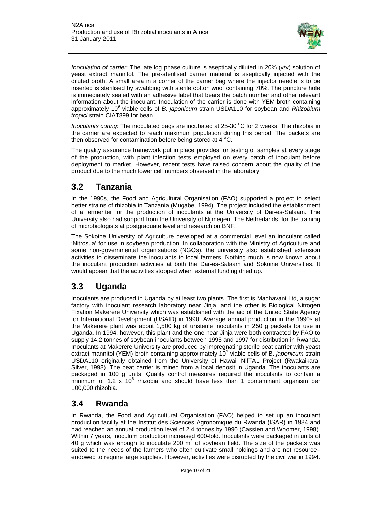

*Inoculation of carrier*: The late log phase culture is aseptically diluted in 20% (v/v) solution of yeast extract mannitol. The pre-sterilised carrier material is aseptically injected with the diluted broth. A small area in a corner of the carrier bag where the injector needle is to be inserted is sterilised by swabbing with sterile cotton wool containing 70%. The puncture hole is immediately sealed with an adhesive label that bears the batch number and other relevant information about the inoculant. Inoculation of the carrier is done with YEM broth containing approximately 10<sup>9</sup> viable cells of *B. japonicum* strain USDA110 for soybean and *Rhizobium tropici* strain CIAT899 for bean.

Inoculants curing: The inoculated bags are incubated at 25-30 °C for 2 weeks. The rhizobia in the carrier are expected to reach maximum population during this period. The packets are then observed for contamination before being stored at 4  $^{\circ}$ C.

The quality assurance framework put in place provides for testing of samples at every stage of the production, with plant infection tests employed on every batch of inoculant before deployment to market. However, recent tests have raised concern about the quality of the product due to the much lower cell numbers observed in the laboratory.

#### **3.2 Tanzania**

In the 1990s, the Food and Agricultural Organisation (FAO) supported a project to select better strains of rhizobia in Tanzania (Mugabe, 1994). The project included the establishment of a fermenter for the production of inoculants at the University of Dar-es-Salaam. The University also had support from the University of Nijmegen, The Netherlands, for the training of microbiologists at postgraduate level and research on BNF.

The Sokoine University of Agriculture developed at a commercial level an inoculant called 'Nitrosua' for use in soybean production. In collaboration with the Ministry of Agriculture and some non-governmental organisations (NGOs), the university also established extension activities to disseminate the inoculants to local farmers. Nothing much is now known about the inoculant production activities at both the Dar-es-Salaam and Sokoine Universities. It would appear that the activities stopped when external funding dried up.

#### **3.3 Uganda**

Inoculants are produced in Uganda by at least two plants. The first is Madhavani Ltd, a sugar factory with inoculant research laboratory near Jinja, and the other is Biological Nitrogen Fixation Makerere University which was established with the aid of the United State Agency for International Development (USAID) in 1990. Average annual production in the 1990s at the Makerere plant was about 1,500 kg of unsterile inoculants in 250 g packets for use in Uganda. In 1994, however, this plant and the one near Jinja were both contracted by FAO to supply 14.2 tonnes of soybean inoculants between 1995 and 1997 for distribution in Rwanda. Inoculants at Makerere University are produced by impregnating sterile peat carrier with yeast extract mannitol (YEM) broth containing approximately 10<sup>9</sup> viable cells of B. *japonicum* strain USDA110 originally obtained from the University of Hawaii NifTAL Project (Rwakaikara-Silver, 1998). The peat carrier is mined from a local deposit in Uganda. The inoculants are packaged in 100 g units. Quality control measures required the inoculants to contain a  $\overline{m}$ inimum of 1.2 x 10<sup>6</sup> rhizobia and should have less than 1 contaminant organism per 100,000 rhizobia.

#### **3.4 Rwanda**

In Rwanda, the Food and Agricultural Organisation (FAO) helped to set up an inoculant production facility at the Institut des Sciences Agronomique du Rwanda (ISAR) in 1984 and had reached an annual production level of 2.4 tonnes by 1990 (Cassien and Woomer, 1998). Within 7 years, inoculum production increased 600-fold. Inoculants were packaged in units of 40 g which was enough to inoculate 200  $m^2$  of soybean field. The size of the packets was suited to the needs of the farmers who often cultivate small holdings and are not resource– endowed to require large supplies. However, activities were disrupted by the civil war in 1994.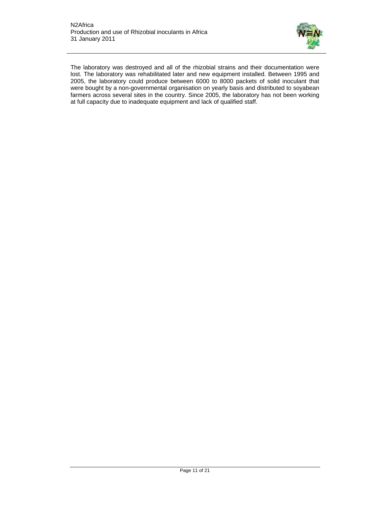

The laboratory was destroyed and all of the rhizobial strains and their documentation were lost. The laboratory was rehabilitated later and new equipment installed. Between 1995 and 2005, the laboratory could produce between 6000 to 8000 packets of solid inoculant that were bought by a non-governmental organisation on yearly basis and distributed to soyabean farmers across several sites in the country. Since 2005, the laboratory has not been working at full capacity due to inadequate equipment and lack of qualified staff.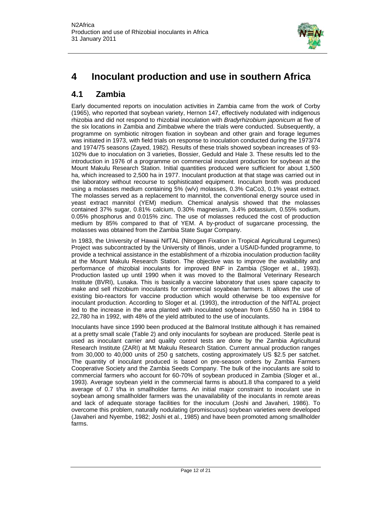

### **4 Inoculant production and use in southern Africa**

#### **4.1 Zambia**

Early documented reports on inoculation activities in Zambia came from the work of Corby (1965), who reported that soybean variety, Hernon 147, effectively nodulated with indigenous rhizobia and did not respond to rhizobial inoculation with *Bradyrhizobium japonicum* at five of the six locations in Zambia and Zimbabwe where the trials were conducted. Subsequently, a programme on symbiotic nitrogen fixation in soybean and other grain and forage legumes was initiated in 1973, with field trials on response to inoculation conducted during the 1973/74 and 1974/75 seasons (Zayed, 1982). Results of these trials showed soybean increases of 93- 102% due to inoculation on 3 varieties, Bossier, Geduld and Hale 3. These results led to the introduction in 1976 of a programme on commercial inoculant production for soybean at the Mount Makulu Research Station. Initial quantities produced were sufficient for about 1,500 ha, which increased to 2,500 ha in 1977. Inoculant production at that stage was carried out in the laboratory without recourse to sophisticated equipment. Inoculum broth was produced using a molasses medium containing 5% (w/v) molasses, 0.3% CaCo3, 0.1% yeast extract. The molasses served as a replacement to mannitol, the conventional energy source used in yeast extract mannitol (YEM) medium. Chemical analysis showed that the molasses contained 37% sugar, 0.81% calcium, 0.30% magnesium, 3.4% potassium, 0.55% sodium, 0.05% phosphorus and 0.015% zinc. The use of molasses reduced the cost of production medium by 85% compared to that of YEM. A by-product of sugarcane processing, the molasses was obtained from the Zambia State Sugar Company.

In 1983, the University of Hawaii NifTAL (Nitrogen Fixation in Tropical Agricultural Legumes) Project was subcontracted by the University of Illinois, under a USAID-funded programme, to provide a technical assistance in the establishment of a rhizobia inoculation production facility at the Mount Makulu Research Station. The objective was to improve the availability and performance of rhizobial inoculants for improved BNF in Zambia (Sloger et al., 1993). Production lasted up until 1990 when it was moved to the Balmoral Veterinary Research Institute (BVRI), Lusaka. This is basically a vaccine laboratory that uses spare capacity to make and sell rhizobium inoculants for commercial soyabean farmers. It allows the use of existing bio-reactors for vaccine production which would otherwise be too expensive for inoculant production. According to Sloger et al. (1993), the introduction of the NifTAL project led to the increase in the area planted with inoculated soybean from 6,550 ha in 1984 to 22,780 ha in 1992, with 48% of the yield attributed to the use of inoculants.

Inoculants have since 1990 been produced at the Balmoral Institute although it has remained at a pretty small scale (Table 2) and only inoculants for soybean are produced. Sterile peat is used as inoculant carrier and quality control tests are done by the Zambia Agricultural Research Institute (ZARI) at Mt Makulu Research Station. Current annual production ranges from 30,000 to 40,000 units of 250 g satchets, costing approximately US \$2.5 per satchet. The quantity of inoculant produced is based on pre-season orders by Zambia Farmers Cooperative Society and the Zambia Seeds Company. The bulk of the inoculants are sold to commercial farmers who account for 60-70% of soybean produced in Zambia (Sloger et al., 1993). Average soybean yield in the commercial farms is about1.8 t/ha compared to a yield average of 0.7 t/ha in smallholder farms. An initial major constraint to inoculant use in soybean among smallholder farmers was the unavailability of the inoculants in remote areas and lack of adequate storage facilities for the inoculum (Joshi and Javaheri, 1986). To overcome this problem, naturally nodulating (promiscuous) soybean varieties were developed (Javaheri and Nyembe, 1982; Joshi et al., 1985) and have been promoted among smallholder farms.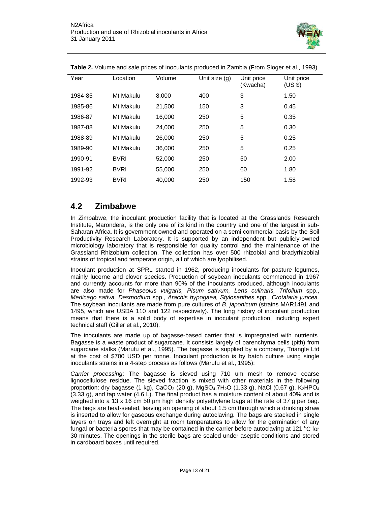

| Year    | Location    | Volume | Unit size (g) | Unit price<br>(Kwacha) | Unit price<br>(US \$) |
|---------|-------------|--------|---------------|------------------------|-----------------------|
| 1984-85 | Mt Makulu   | 8,000  | 400           | 3                      | 1.50                  |
| 1985-86 | Mt Makulu   | 21,500 | 150           | 3                      | 0.45                  |
| 1986-87 | Mt Makulu   | 16,000 | 250           | 5                      | 0.35                  |
| 1987-88 | Mt Makulu   | 24,000 | 250           | 5                      | 0.30                  |
| 1988-89 | Mt Makulu   | 26,000 | 250           | 5                      | 0.25                  |
| 1989-90 | Mt Makulu   | 36,000 | 250           | 5                      | 0.25                  |
| 1990-91 | <b>BVRI</b> | 52,000 | 250           | 50                     | 2.00                  |
| 1991-92 | <b>BVRI</b> | 55,000 | 250           | 60                     | 1.80                  |
| 1992-93 | <b>BVRI</b> | 40,000 | 250           | 150                    | 1.58                  |

**Table 2.** Volume and sale prices of inoculants produced in Zambia (From Sloger et al., 1993)

#### **4.2 Zimbabwe**

In Zimbabwe, the inoculant production facility that is located at the Grasslands Research Institute, Marondera, is the only one of its kind in the country and one of the largest in sub-Saharan Africa. It is government owned and operated on a semi commercial basis by the Soil Productivity Research Laboratory. It is supported by an independent but publicly-owned microbiology laboratory that is responsible for quality control and the maintenance of the Grassland Rhizobium collection. The collection has over 500 rhizobial and bradyrhizobial strains of tropical and temperate origin, all of which are lyophilised.

Inoculant production at SPRL started in 1962, producing inoculants for pasture legumes, mainly lucerne and clover species. Production of soybean inoculants commenced in 1967 and currently accounts for more than 90% of the inoculants produced, although inoculants are also made for *Phaseolus vulgaris, Pisum sativum, Lens culinaris, Trifolium* spp., *Medicago sativa, Desmodium* spp.*, Arachis hypogaea, Stylosanthes* spp., *Crotalaria juncea.*  The soybean inoculants are made from pure cultures of *B. japonicum* (strains MAR1491 and 1495, which are USDA 110 and 122 respectively). The long history of inoculant production means that there is a solid body of expertise in inoculant production, including expert technical staff (Giller et al., 2010).

The inoculants are made up of bagasse-based carrier that is impregnated with nutrients. Bagasse is a waste product of sugarcane. It consists largely of parenchyma cells (pith) from sugarcane stalks (Marufu et al., 1995). The bagasse is supplied by a company, Triangle Ltd at the cost of \$700 USD per tonne. Inoculant production is by batch culture using single inoculants strains in a 4-step process as follows (Marufu et al., 1995):

*Carrier processing*: The bagasse is sieved using 710 um mesh to remove coarse lignocellulose residue. The sieved fraction is mixed with other materials in the following proportion: dry bagasse (1 kg), CaCO<sub>3</sub> (20 g), MgSO<sub>4</sub>.7H<sub>2</sub>O (1.33 g), NaCl (0.67 g), K<sub>2</sub>HPO<sub>4</sub> (3.33 g), and tap water (4.6 L). The final product has a moisture content of about 40% and is weighed into a 13 x 16 cm 50 µm high density polyethylene bags at the rate of 37 g per bag. The bags are heat-sealed, leaving an opening of about 1.5 cm through which a drinking straw is inserted to allow for gaseous exchange during autoclaving. The bags are stacked in single layers on trays and left overnight at room temperatures to allow for the germination of any fungal or bacteria spores that may be contained in the carrier before autoclaving at 121  $^{\circ}$ C for 30 minutes. The openings in the sterile bags are sealed under aseptic conditions and stored in cardboard boxes until required.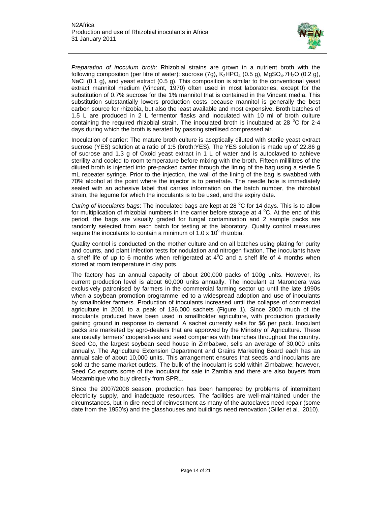

*Preparation of inoculum broth*: Rhizobial strains are grown in a nutrient broth with the following composition (per litre of water): sucrose  $(7g)$ ,  $K_2HPO_4$  (0.5 g), MgSO<sub>4</sub>.7H<sub>2</sub>O (0.2 g), NaCl (0.1 g), and yeast extract (0.5 g). This composition is similar to the conventional yeast extract mannitol medium (Vincent, 1970) often used in most laboratories, except for the substitution of 0.7% sucrose for the 1% mannitol that is contained in the Vincent media. This substitution substantially lowers production costs because mannitol is generally the best carbon source for rhizobia, but also the least available and most expensive. Broth batches of 1.5 L are produced in 2 L fermentor flasks and inoculated with 10 ml of broth culture containing the required rhizobial strain. The inoculated broth is incubated at 28  $^{\circ}$ C for 2-4 days during which the broth is aerated by passing sterilised compressed air.

Inoculation of carrier: The mature broth culture is aseptically diluted with sterile yeast extract sucrose (YES) solution at a ratio of 1:5 (broth:YES). The YES solution is made up of 22.86 g of sucrose and 1.3 g of Oxoid yeast extract in 1 L of water and is autoclaved to achieve sterility and cooled to room temperature before mixing with the broth. Fifteen millilitres of the diluted broth is injected into pre-packed carrier through the lining of the bag using a sterile 5 mL repeater syringe. Prior to the injection, the wall of the lining of the bag is swabbed with 70% alcohol at the point where the injector is to penetrate. The needle hole is immediately sealed with an adhesive label that carries information on the batch number, the rhizobial strain, the legume for which the inoculants is to be used, and the expiry date.

Curing of inoculants bags: The inoculated bags are kept at 28 °C for 14 days. This is to allow for multiplication of rhizobial numbers in the carrier before storage at 4  $^{\circ}$ C. At the end of this period, the bags are visually graded for fungal contamination and 2 sample packs are randomly selected from each batch for testing at the laboratory. Quality control measures require the inoculants to contain a minimum of  $1.0 \times 10^9$  rhizobia.

Quality control is conducted on the mother culture and on all batches using plating for purity and counts, and plant infection tests for nodulation and nitrogen fixation. The inoculants have a shelf life of up to 6 months when refrigerated at  $4^{\circ}$ C and a shelf life of 4 months when stored at room temperature in clay pots.

The factory has an annual capacity of about 200,000 packs of 100g units. However, its current production level is about 60,000 units annually. The inoculant at Marondera was exclusively patronised by farmers in the commercial farming sector up until the late 1990s when a soybean promotion programme led to a widespread adoption and use of inoculants by smallholder farmers. Production of inoculants increased until the collapse of commercial agriculture in 2001 to a peak of 136,000 sachets (Figure 1). Since 2000 much of the inoculants produced have been used in smallholder agriculture, with production gradually gaining ground in response to demand. A sachet currently sells for \$6 per pack. Inoculant packs are marketed by agro-dealers that are approved by the Ministry of Agriculture. These are usually farmers' cooperatives and seed companies with branches throughout the country. Seed Co, the largest soybean seed house in Zimbabwe, sells an average of 30,000 units annually. The Agriculture Extension Department and Grains Marketing Board each has an annual sale of about 10,000 units. This arrangement ensures that seeds and inoculants are sold at the same market outlets. The bulk of the inoculant is sold within Zimbabwe; however, Seed Co exports some of the inoculant for sale in Zambia and there are also buyers from Mozambique who buy directly from SPRL.

Since the 2007/2008 season, production has been hampered by problems of intermittent electricity supply, and inadequate resources. The facilities are well-maintained under the circumstances, but in dire need of reinvestment as many of the autoclaves need repair (some date from the 1950's) and the glasshouses and buildings need renovation (Giller et al., 2010).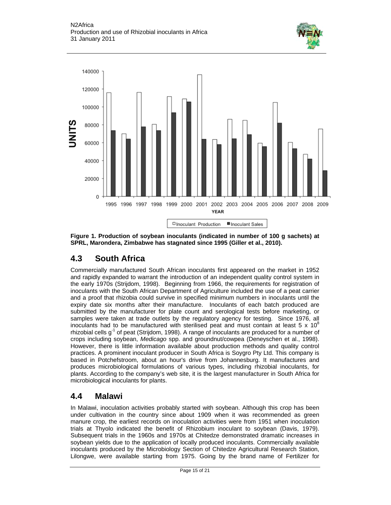



**Figure 1. Production of soybean inoculants (indicated in number of 100 g sachets) at SPRL, Marondera, Zimbabwe has stagnated since 1995 (Giller et al., 2010).**

#### **4.3 South Africa**

Commercially manufactured South African inoculants first appeared on the market in 1952 and rapidly expanded to warrant the introduction of an independent quality control system in the early 1970s (Strijdom, 1998). Beginning from 1966, the requirements for registration of inoculants with the South African Department of Agriculture included the use of a peat carrier and a proof that rhizobia could survive in specified minimum numbers in inoculants until the expiry date six months after their manufacture. Inoculants of each batch produced are submitted by the manufacturer for plate count and serological tests before marketing, or samples were taken at trade outlets by the regulatory agency for testing. Since 1976, all inoculants had to be manufactured with sterilised peat and must contain at least 5 x 10<sup>8</sup> rhizobial cells  $g^1$  of peat (Strijdom, 1998). A range of inoculants are produced for a number of crops including soybean, *Medicago* spp. and groundnut/cowpea (Deneyschen et al., 1998). However, there is little information available about production methods and quality control practices. A prominent inoculant producer in South Africa is Soygro Pty Ltd. This company is based in Potchefstroom, about an hour's drive from Johannesburg. It manufactures and produces microbiological formulations of various types, including rhizobial inoculants, for plants. According to the company's web site, it is the largest manufacturer in South Africa for microbiological inoculants for plants.

#### **4.4 Malawi**

In Malawi, inoculation activities probably started with soybean. Although this crop has been under cultivation in the country since about 1909 when it was recommended as green manure crop, the earliest records on inoculation activities were from 1951 when inoculation trials at Thyolo indicated the benefit of Rhizobium inoculant to soybean (Davis, 1979). Subsequent trials in the 1960s and 1970s at Chitedze demonstrated dramatic increases in soybean yields due to the application of locally produced inoculants. Commercially available inoculants produced by the Microbiology Section of Chitedze Agricultural Research Station, Lilongwe, were available starting from 1975. Going by the brand name of Fertilizer for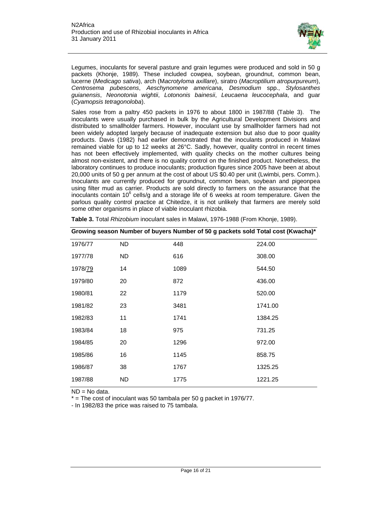

Legumes, inoculants for several pasture and grain legumes were produced and sold in 50 g packets (Khonje, 1989). These included cowpea, soybean, groundnut, common bean, lucerne (*Medicago sativa*), arch (M*acrotyloma axillare*), siratro (*Macroptilium atropurpureum*), *Centrosema pubescens*, *Aeschynomene americana*, *Desmodium* spp., *Stylosanthes guianensis*, *Neonotonia wightii*, *Lotononis bainesii*, *Leucaena leucocephala*, and guar (*Cyamopsis tetragonoloba*).

Sales rose from a paltry 450 packets in 1976 to about 1800 in 1987/88 (Table 3). The inoculants were usually purchased in bulk by the Agricultural Development Divisions and distributed to smallholder farmers. However, inoculant use by smallholder farmers had not been widely adopted largely because of inadequate extension but also due to poor quality products. Davis (1982) had earlier demonstrated that the inoculants produced in Malawi remained viable for up to 12 weeks at 26°C. Sadly, however, quality control in recent times has not been effectively implemented, with quality checks on the mother cultures being almost non-existent, and there is no quality control on the finished product. Nonetheless, the laboratory continues to produce inoculants; production figures since 2005 have been at about 20,000 units of 50 g per annum at the cost of about US \$0.40 per unit (Lwimbi, pers. Comm.). Inoculants are currently produced for groundnut, common bean, soybean and pigeonpea using filter mud as carrier. Products are sold directly to farmers on the assurance that the inoculants contain 10<sup>6</sup> cells/g and a storage life of 6 weeks at room temperature. Given the parlous quality control practice at Chitedze, it is not unlikely that farmers are merely sold some other organisms in place of viable inoculant rhizobia.

|                 |     | Growing season Number of buyers Number of 50 g packets sold Total cost (Kwacha)* |         |
|-----------------|-----|----------------------------------------------------------------------------------|---------|
| 1976/77         | ND. | 448                                                                              | 224.00  |
| 1977/78         | ND. | 616                                                                              | 308.00  |
| 1978/ <u>79</u> | 14  | 1089                                                                             | 544.50  |
| 1979/80         | 20  | 872                                                                              | 436.00  |
| 1980/81         | 22  | 1179                                                                             | 520.00  |
| 1981/82         | 23  | 3481                                                                             | 1741.00 |
| 1982/83         | 11  | 1741                                                                             | 1384.25 |
| 1983/84         | 18  | 975                                                                              | 731.25  |
| 1984/85         | 20  | 1296                                                                             | 972.00  |
| 1985/86         | 16  | 1145                                                                             | 858.75  |
| 1986/87         | 38  | 1767                                                                             | 1325.25 |
| 1987/88         | ND  | 1775                                                                             | 1221.25 |

**Table 3.** Total *Rhizobium* inoculant sales in Malawi, 1976-1988 (From Khonje, 1989).

ND = No data.

 $*$  = The cost of inoculant was 50 tambala per 50 g packet in 1976/77.

- In 1982/83 the price was raised to 75 tambala.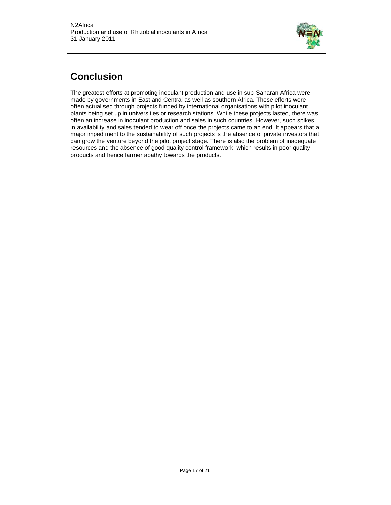

### **Conclusion**

The greatest efforts at promoting inoculant production and use in sub-Saharan Africa were made by governments in East and Central as well as southern Africa. These efforts were often actualised through projects funded by international organisations with pilot inoculant plants being set up in universities or research stations. While these projects lasted, there was often an increase in inoculant production and sales in such countries. However, such spikes in availability and sales tended to wear off once the projects came to an end. It appears that a major impediment to the sustainability of such projects is the absence of private investors that can grow the venture beyond the pilot project stage. There is also the problem of inadequate resources and the absence of good quality control framework, which results in poor quality products and hence farmer apathy towards the products.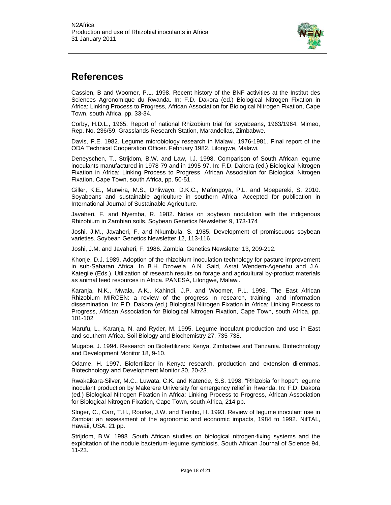

### **References**

Cassien, B and Woomer, P.L. 1998. Recent history of the BNF activities at the Institut des Sciences Agronomique du Rwanda. In: F.D. Dakora (ed.) Biological Nitrogen Fixation in Africa: Linking Process to Progress, African Association for Biological Nitrogen Fixation, Cape Town, south Africa, pp. 33-34.

Corby, H.D.L., 1965. Report of national Rhizobium trial for soyabeans, 1963/1964. Mimeo, Rep. No. 236/59, Grasslands Research Station, Marandellas, Zimbabwe.

Davis, P.E. 1982. Legume microbiology research in Malawi. 1976-1981. Final report of the ODA Technical Cooperation Officer. February 1982. Lilongwe, Malawi.

Deneyschen, T., Strijdom, B.W. and Law, I.J. 1998. Comparison of South African legume inoculants manufactured in 1978-79 and in 1995-97. In: F.D. Dakora (ed.) Biological Nitrogen Fixation in Africa: Linking Process to Progress, African Association for Biological Nitrogen Fixation, Cape Town, south Africa, pp. 50-51.

Giller, K.E., Murwira, M.S., Dhliwayo, D.K.C., Mafongoya, P.L. and Mpepereki, S. 2010. Soyabeans and sustainable agriculture in southern Africa. Accepted for publication in International Journal of Sustainable Agriculture.

Javaheri, F. and Nyemba, R. 1982. Notes on soybean nodulation with the indigenous Rhizobium in Zambian soils. Soybean Genetics Newsletter 9, 173-174

Joshi, J.M., Javaheri, F. and Nkumbula, S. 1985. Development of promiscuous soybean varieties. Soybean Genetics Newsletter 12, 113-116.

Joshi, J.M. and Javaheri, F. 1986. Zambia. Genetics Newsletter 13, 209-212.

Khonje, D.J. 1989. Adoption of the rhizobium inoculation technology for pasture improvement in sub-Saharan Africa. In B.H. Dzowela, A.N. Said, Asrat Wendem-Agenehu and J.A. Kategile (Eds.), Utilization of research results on forage and agricultural by-product materials as animal feed resources in Africa. PANESA, Lilongwe, Malawi.

Karanja, N.K., Mwala, A.K., Kahindi, J.P. and Woomer, P.L. 1998. The East African Rhizobium MIRCEN: a review of the progress in research, training, and information dissemination. In: F.D. Dakora (ed.) Biological Nitrogen Fixation in Africa: Linking Process to Progress, African Association for Biological Nitrogen Fixation, Cape Town, south Africa, pp. 101-102

Marufu, L., Karanja, N. and Ryder, M. 1995. Legume inoculant production and use in East and southern Africa. Soil Biology and Biochemistry 27, 735-738.

Mugabe, J. 1994. Research on Biofertilizers: Kenya, Zimbabwe and Tanzania. Biotechnology and Development Monitor 18, 9-10.

Odame, H. 1997. Biofertilizer in Kenya: research, production and extension dilemmas. Biotechnology and Development Monitor 30, 20-23.

Rwakaikara-Silver, M.C., Luwata, C.K. and Katende, S.S. 1998. "Rhizobia for hope": legume inoculant production by Makerere University for emergency relief in Rwanda. In: F.D. Dakora (ed.) Biological Nitrogen Fixation in Africa: Linking Process to Progress, African Association for Biological Nitrogen Fixation, Cape Town, south Africa, 214 pp.

Sloger, C., Carr, T.H., Rourke, J.W. and Tembo, H. 1993. Review of legume inoculant use in Zambia: an assessment of the agronomic and economic impacts, 1984 to 1992. NifTAL, Hawaii, USA. 21 pp.

Strijdom, B.W. 1998. South African studies on biological nitrogen-fixing systems and the exploitation of the nodule bacterium-legume symbiosis. South African Journal of Science 94, 11-23.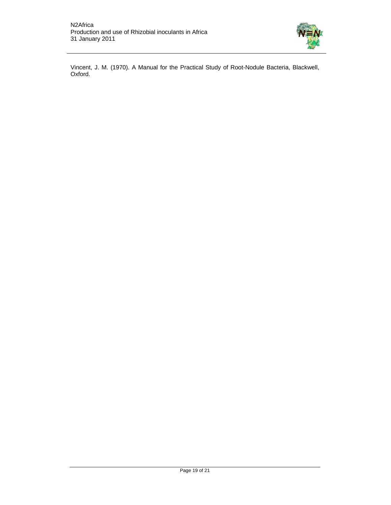

Vincent, J. M. (1970). A Manual for the Practical Study of Root-Nodule Bacteria, Blackwell, Oxford.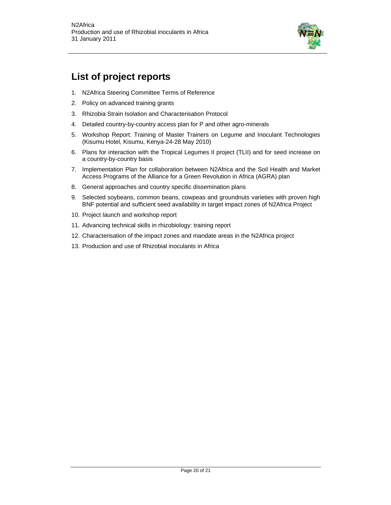

### **List of project reports**

- 1. N2Africa Steering Committee Terms of Reference
- 2. Policy on advanced training grants
- 3. Rhizobia Strain Isolation and Characterisation Protocol
- 4. Detailed country-by-country access plan for P and other agro-minerals
- 5. Workshop Report: Training of Master Trainers on Legume and Inoculant Technologies (Kisumu Hotel, Kisumu, Kenya-24-28 May 2010)
- 6. Plans for interaction with the Tropical Legumes II project (TLII) and for seed increase on a country-by-country basis
- 7. Implementation Plan for collaboration between N2Africa and the Soil Health and Market Access Programs of the Alliance for a Green Revolution in Africa (AGRA) plan
- 8. General approaches and country specific dissemination plans
- 9. Selected soybeans, common beans, cowpeas and groundnuts varieties with proven high BNF potential and sufficient seed availability in target impact zones of N2Africa Project
- 10. Project launch and workshop report
- 11. Advancing technical skills in rhizobiology: training report
- 12. Characterisation of the impact zones and mandate areas in the N2Africa project
- 13. Production and use of Rhizobial inoculants in Africa